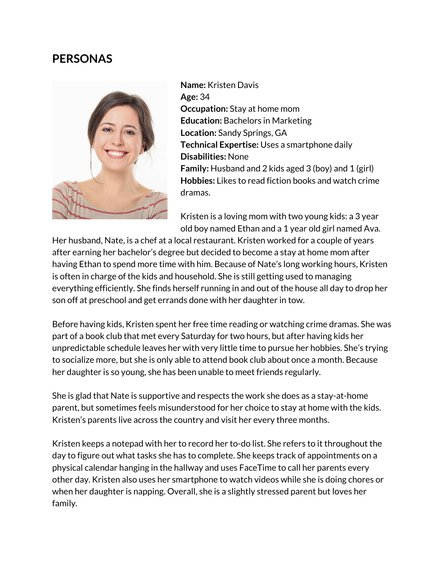## **PERSONAS**



**Name:** Kristen Davis **Age:** 34 **Occupation:** Stay at home mom **Education:** Bachelors in Marketing **Location:** Sandy Springs, GA **Technical Expertise:** Uses a smartphone daily **Disabilities:** None **Family:** Husband and 2 kids aged 3 (boy) and 1 (girl) **Hobbies:** Likes to read fiction books and watch crime dramas.

Kristen is a loving mom with two young kids: a 3 year old boy named Ethan and a 1 year old girl named Ava.

Her husband, Nate, is a chef at a local restaurant. Kristen worked for a couple of years after earning her bachelor's degree but decided to become a stay at home mom after having Ethan to spend more time with him. Because of Nate's long working hours, Kristen is often in charge of the kids and household. She is still getting used to managing everything efficiently. She finds herself running in and out of the house all day to drop her son off at preschool and get errands done with her daughter in tow.

Before having kids, Kristen spent her free time reading or watching crime dramas. She was part of a book club that met every Saturday for two hours, but after having kids her unpredictable schedule leaves her with very little time to pursue her hobbies. She's trying to socialize more, but she is only able to attend book club about once a month. Because her daughter is so young, she has been unable to meet friends regularly.

She is glad that Nate is supportive and respects the work she does as a stay-at-home parent, but sometimes feels misunderstood for her choice to stay at home with the kids. Kristen's parents live across the country and visit her every three months.

Kristen keeps a notepad with her to record her to-do list. She refers to it throughout the day to figure out what tasks she has to complete. She keeps track of appointments on a physical calendar hanging in the hallway and uses FaceTime to call her parents every other day. Kristen also uses her smartphone to watch videos while she is doing chores or when her daughter is napping. Overall, she is a slightly stressed parent but loves her family.